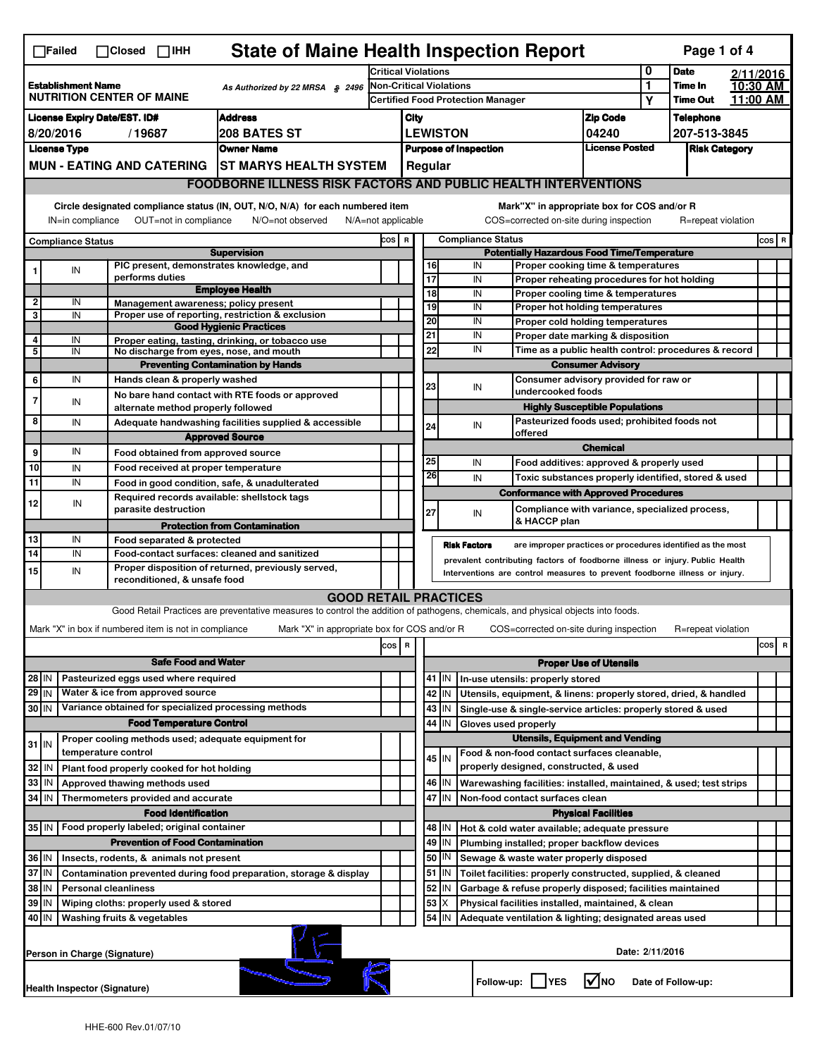| <b>State of Maine Health Inspection Report</b><br>Page 1 of 4<br>$\Box$ Failed<br>$\Box$ Closed $\Box$ IHH                                                                                                                     |                                                                                                                                                                                                                                                                                       |                                                                            |                                                                                                                                   |                                                 |                                                                                                      |                                                                                                                                                            |                                                                           |                                       |                                                                                       |                          |                                                      |                                  |           |       |   |
|--------------------------------------------------------------------------------------------------------------------------------------------------------------------------------------------------------------------------------|---------------------------------------------------------------------------------------------------------------------------------------------------------------------------------------------------------------------------------------------------------------------------------------|----------------------------------------------------------------------------|-----------------------------------------------------------------------------------------------------------------------------------|-------------------------------------------------|------------------------------------------------------------------------------------------------------|------------------------------------------------------------------------------------------------------------------------------------------------------------|---------------------------------------------------------------------------|---------------------------------------|---------------------------------------------------------------------------------------|--------------------------|------------------------------------------------------|----------------------------------|-----------|-------|---|
|                                                                                                                                                                                                                                |                                                                                                                                                                                                                                                                                       |                                                                            |                                                                                                                                   |                                                 |                                                                                                      | <b>Critical Violations</b>                                                                                                                                 |                                                                           |                                       |                                                                                       |                          |                                                      | <b>Date</b>                      | 2/11/2016 |       |   |
| <b>Establishment Name</b><br>As Authorized by 22 MRSA $$$ 2496<br><b>NUTRITION CENTER OF MAINE</b>                                                                                                                             |                                                                                                                                                                                                                                                                                       |                                                                            |                                                                                                                                   | Non-Critical Violations                         |                                                                                                      |                                                                                                                                                            |                                                                           |                                       |                                                                                       | 1<br>Υ                   | Time In<br><b>Time Out</b>                           | 10:30 AM<br>11:00 AM             |           |       |   |
|                                                                                                                                                                                                                                | <b>Address</b>                                                                                                                                                                                                                                                                        |                                                                            |                                                                                                                                   |                                                 |                                                                                                      |                                                                                                                                                            | <b>Certified Food Protection Manager</b>                                  |                                       |                                                                                       |                          |                                                      |                                  |           |       |   |
| <b>License Expiry Date/EST. ID#</b><br>8/20/2016<br>208 BATES ST<br>/19687                                                                                                                                                     |                                                                                                                                                                                                                                                                                       |                                                                            |                                                                                                                                   |                                                 | City                                                                                                 |                                                                                                                                                            |                                                                           |                                       |                                                                                       | <b>Zip Code</b><br>04240 |                                                      | <b>Telephone</b><br>207-513-3845 |           |       |   |
| <b>Owner Name</b><br><b>License Type</b>                                                                                                                                                                                       |                                                                                                                                                                                                                                                                                       |                                                                            |                                                                                                                                   | <b>LEWISTON</b><br><b>Purpose of Inspection</b> |                                                                                                      |                                                                                                                                                            | <b>License Posted</b>                                                     |                                       | <b>Risk Category</b>                                                                  |                          |                                                      |                                  |           |       |   |
| <b>MUN - EATING AND CATERING</b><br><b>ST MARYS HEALTH SYSTEM</b>                                                                                                                                                              |                                                                                                                                                                                                                                                                                       |                                                                            |                                                                                                                                   | Regular                                         |                                                                                                      |                                                                                                                                                            |                                                                           |                                       |                                                                                       |                          |                                                      |                                  |           |       |   |
|                                                                                                                                                                                                                                | <b>FOODBORNE ILLNESS RISK FACTORS AND PUBLIC HEALTH INTERVENTIONS</b>                                                                                                                                                                                                                 |                                                                            |                                                                                                                                   |                                                 |                                                                                                      |                                                                                                                                                            |                                                                           |                                       |                                                                                       |                          |                                                      |                                  |           |       |   |
|                                                                                                                                                                                                                                |                                                                                                                                                                                                                                                                                       |                                                                            |                                                                                                                                   |                                                 |                                                                                                      |                                                                                                                                                            |                                                                           |                                       |                                                                                       |                          |                                                      |                                  |           |       |   |
|                                                                                                                                                                                                                                | Circle designated compliance status (IN, OUT, N/O, N/A) for each numbered item<br>Mark"X" in appropriate box for COS and/or R<br>IN=in compliance<br>OUT=not in compliance<br>N/A=not applicable<br>COS=corrected on-site during inspection<br>R=repeat violation<br>N/O=not observed |                                                                            |                                                                                                                                   |                                                 |                                                                                                      |                                                                                                                                                            |                                                                           |                                       |                                                                                       |                          |                                                      |                                  |           |       |   |
| <b>Compliance Status</b>                                                                                                                                                                                                       |                                                                                                                                                                                                                                                                                       |                                                                            |                                                                                                                                   |                                                 |                                                                                                      | <b>Compliance Status</b><br>COS R                                                                                                                          |                                                                           |                                       |                                                                                       |                          |                                                      |                                  |           | COS R |   |
|                                                                                                                                                                                                                                |                                                                                                                                                                                                                                                                                       | PIC present, demonstrates knowledge, and                                   | <b>Supervision</b>                                                                                                                |                                                 | <b>Potentially Hazardous Food Time/Temperature</b><br>16<br>IN<br>Proper cooking time & temperatures |                                                                                                                                                            |                                                                           |                                       |                                                                                       |                          |                                                      |                                  |           |       |   |
|                                                                                                                                                                                                                                | IN                                                                                                                                                                                                                                                                                    | performs duties                                                            |                                                                                                                                   |                                                 |                                                                                                      |                                                                                                                                                            | $\overline{17}$                                                           | IN                                    | Proper reheating procedures for hot holding                                           |                          |                                                      |                                  |           |       |   |
| $\overline{2}$                                                                                                                                                                                                                 | IN                                                                                                                                                                                                                                                                                    |                                                                            | <b>Employee Health</b>                                                                                                            |                                                 |                                                                                                      |                                                                                                                                                            | 18                                                                        | IN                                    | Proper cooling time & temperatures                                                    |                          |                                                      |                                  |           |       |   |
| 3                                                                                                                                                                                                                              | IN                                                                                                                                                                                                                                                                                    | Management awareness; policy present                                       | Proper use of reporting, restriction & exclusion                                                                                  |                                                 |                                                                                                      |                                                                                                                                                            | 19                                                                        | IN                                    | Proper hot holding temperatures                                                       |                          |                                                      |                                  |           |       |   |
|                                                                                                                                                                                                                                |                                                                                                                                                                                                                                                                                       |                                                                            | <b>Good Hygienic Practices</b>                                                                                                    |                                                 |                                                                                                      |                                                                                                                                                            | 20<br>21                                                                  | IN<br>IN                              | Proper cold holding temperatures<br>Proper date marking & disposition                 |                          |                                                      |                                  |           |       |   |
| 4<br>5                                                                                                                                                                                                                         | IN<br>IN                                                                                                                                                                                                                                                                              | No discharge from eyes, nose, and mouth                                    | Proper eating, tasting, drinking, or tobacco use                                                                                  |                                                 |                                                                                                      |                                                                                                                                                            | 22                                                                        | IN                                    |                                                                                       |                          | Time as a public health control: procedures & record |                                  |           |       |   |
|                                                                                                                                                                                                                                |                                                                                                                                                                                                                                                                                       |                                                                            | <b>Preventing Contamination by Hands</b>                                                                                          |                                                 |                                                                                                      |                                                                                                                                                            |                                                                           |                                       |                                                                                       | <b>Consumer Advisory</b> |                                                      |                                  |           |       |   |
| 6                                                                                                                                                                                                                              | IN                                                                                                                                                                                                                                                                                    | Hands clean & properly washed                                              |                                                                                                                                   |                                                 |                                                                                                      |                                                                                                                                                            |                                                                           | Consumer advisory provided for raw or |                                                                                       |                          |                                                      |                                  |           |       |   |
| 7                                                                                                                                                                                                                              |                                                                                                                                                                                                                                                                                       |                                                                            | No bare hand contact with RTE foods or approved                                                                                   |                                                 |                                                                                                      |                                                                                                                                                            | 23                                                                        | IN                                    | undercooked foods                                                                     |                          |                                                      |                                  |           |       |   |
|                                                                                                                                                                                                                                | IN                                                                                                                                                                                                                                                                                    | alternate method properly followed                                         |                                                                                                                                   |                                                 |                                                                                                      |                                                                                                                                                            |                                                                           |                                       | <b>Highly Susceptible Populations</b>                                                 |                          |                                                      |                                  |           |       |   |
| 8                                                                                                                                                                                                                              | IN                                                                                                                                                                                                                                                                                    |                                                                            | Adequate handwashing facilities supplied & accessible                                                                             |                                                 |                                                                                                      |                                                                                                                                                            | 24                                                                        | IN                                    | Pasteurized foods used; prohibited foods not<br>offered                               |                          |                                                      |                                  |           |       |   |
|                                                                                                                                                                                                                                | IN                                                                                                                                                                                                                                                                                    |                                                                            | <b>Approved Source</b>                                                                                                            |                                                 |                                                                                                      |                                                                                                                                                            |                                                                           |                                       |                                                                                       | <b>Chemical</b>          |                                                      |                                  |           |       |   |
| 9<br>10                                                                                                                                                                                                                        |                                                                                                                                                                                                                                                                                       | Food obtained from approved source                                         |                                                                                                                                   |                                                 |                                                                                                      |                                                                                                                                                            | 25                                                                        | IN                                    | Food additives: approved & properly used                                              |                          |                                                      |                                  |           |       |   |
| 11                                                                                                                                                                                                                             | IN<br>IN                                                                                                                                                                                                                                                                              | Food received at proper temperature                                        | Food in good condition, safe, & unadulterated                                                                                     |                                                 |                                                                                                      |                                                                                                                                                            | 26                                                                        | IN                                    | Toxic substances properly identified, stored & used                                   |                          |                                                      |                                  |           |       |   |
|                                                                                                                                                                                                                                |                                                                                                                                                                                                                                                                                       | Required records available: shellstock tags                                |                                                                                                                                   |                                                 |                                                                                                      |                                                                                                                                                            |                                                                           |                                       | <b>Conformance with Approved Procedures</b>                                           |                          |                                                      |                                  |           |       |   |
| 12                                                                                                                                                                                                                             | IN                                                                                                                                                                                                                                                                                    | parasite destruction                                                       |                                                                                                                                   |                                                 |                                                                                                      |                                                                                                                                                            | 27                                                                        | IN                                    | Compliance with variance, specialized process,                                        |                          |                                                      |                                  |           |       |   |
|                                                                                                                                                                                                                                |                                                                                                                                                                                                                                                                                       |                                                                            | <b>Protection from Contamination</b>                                                                                              |                                                 |                                                                                                      |                                                                                                                                                            |                                                                           |                                       | & HACCP plan                                                                          |                          |                                                      |                                  |           |       |   |
| 13<br>14                                                                                                                                                                                                                       | IN<br>IN                                                                                                                                                                                                                                                                              | Food separated & protected                                                 | Food-contact surfaces: cleaned and sanitized                                                                                      |                                                 |                                                                                                      |                                                                                                                                                            | <b>Risk Factors</b>                                                       |                                       | are improper practices or procedures identified as the most                           |                          |                                                      |                                  |           |       |   |
| 15                                                                                                                                                                                                                             | IN                                                                                                                                                                                                                                                                                    |                                                                            | Proper disposition of returned, previously served,                                                                                |                                                 |                                                                                                      | prevalent contributing factors of foodborne illness or injury. Public Health<br>Interventions are control measures to prevent foodborne illness or injury. |                                                                           |                                       |                                                                                       |                          |                                                      |                                  |           |       |   |
|                                                                                                                                                                                                                                |                                                                                                                                                                                                                                                                                       | reconditioned, & unsafe food                                               |                                                                                                                                   |                                                 |                                                                                                      |                                                                                                                                                            |                                                                           |                                       |                                                                                       |                          |                                                      |                                  |           |       |   |
|                                                                                                                                                                                                                                |                                                                                                                                                                                                                                                                                       |                                                                            | <b>GOOD RETAIL PRACTICES</b>                                                                                                      |                                                 |                                                                                                      |                                                                                                                                                            |                                                                           |                                       |                                                                                       |                          |                                                      |                                  |           |       |   |
|                                                                                                                                                                                                                                |                                                                                                                                                                                                                                                                                       |                                                                            | Good Retail Practices are preventative measures to control the addition of pathogens, chemicals, and physical objects into foods. |                                                 |                                                                                                      |                                                                                                                                                            |                                                                           |                                       |                                                                                       |                          |                                                      |                                  |           |       |   |
|                                                                                                                                                                                                                                |                                                                                                                                                                                                                                                                                       | Mark "X" in box if numbered item is not in compliance                      | Mark "X" in appropriate box for COS and/or R                                                                                      |                                                 |                                                                                                      |                                                                                                                                                            |                                                                           |                                       | COS=corrected on-site during inspection                                               |                          |                                                      | R=repeat violation               |           |       |   |
|                                                                                                                                                                                                                                |                                                                                                                                                                                                                                                                                       |                                                                            |                                                                                                                                   | cos                                             | R                                                                                                    |                                                                                                                                                            |                                                                           |                                       |                                                                                       |                          |                                                      |                                  |           | cos   | R |
|                                                                                                                                                                                                                                |                                                                                                                                                                                                                                                                                       | <b>Safe Food and Water</b>                                                 |                                                                                                                                   |                                                 |                                                                                                      | <b>Proper Use of Utensils</b>                                                                                                                              |                                                                           |                                       |                                                                                       |                          |                                                      |                                  |           |       |   |
| 28 IN                                                                                                                                                                                                                          |                                                                                                                                                                                                                                                                                       | Pasteurized eggs used where required                                       |                                                                                                                                   |                                                 |                                                                                                      |                                                                                                                                                            | 41   IN                                                                   |                                       | In-use utensils: properly stored                                                      |                          |                                                      |                                  |           |       |   |
| $29$ IN                                                                                                                                                                                                                        |                                                                                                                                                                                                                                                                                       | Water & ice from approved source                                           |                                                                                                                                   |                                                 |                                                                                                      |                                                                                                                                                            | 42 IN                                                                     |                                       | Utensils, equipment, & linens: properly stored, dried, & handled                      |                          |                                                      |                                  |           |       |   |
| 30 IN                                                                                                                                                                                                                          |                                                                                                                                                                                                                                                                                       | Variance obtained for specialized processing methods                       |                                                                                                                                   |                                                 |                                                                                                      |                                                                                                                                                            | $43$   IN                                                                 |                                       | Single-use & single-service articles: properly stored & used                          |                          |                                                      |                                  |           |       |   |
|                                                                                                                                                                                                                                |                                                                                                                                                                                                                                                                                       | <b>Food Temperature Control</b>                                            |                                                                                                                                   |                                                 |                                                                                                      |                                                                                                                                                            | 44<br>IN                                                                  | Gloves used properly                  |                                                                                       |                          |                                                      |                                  |           |       |   |
| $31$ IN                                                                                                                                                                                                                        |                                                                                                                                                                                                                                                                                       | Proper cooling methods used; adequate equipment for<br>temperature control |                                                                                                                                   |                                                 |                                                                                                      |                                                                                                                                                            |                                                                           |                                       | <b>Utensils, Equipment and Vending</b><br>Food & non-food contact surfaces cleanable, |                          |                                                      |                                  |           |       |   |
| 32                                                                                                                                                                                                                             | IN                                                                                                                                                                                                                                                                                    | Plant food properly cooked for hot holding                                 |                                                                                                                                   |                                                 |                                                                                                      |                                                                                                                                                            | 45 IN                                                                     |                                       | properly designed, constructed, & used                                                |                          |                                                      |                                  |           |       |   |
| 33                                                                                                                                                                                                                             | l IN                                                                                                                                                                                                                                                                                  | Approved thawing methods used                                              |                                                                                                                                   |                                                 |                                                                                                      |                                                                                                                                                            | 46   IN                                                                   |                                       | Warewashing facilities: installed, maintained, & used; test strips                    |                          |                                                      |                                  |           |       |   |
| 34 IN                                                                                                                                                                                                                          |                                                                                                                                                                                                                                                                                       | Thermometers provided and accurate                                         |                                                                                                                                   |                                                 |                                                                                                      |                                                                                                                                                            | 47 IN<br>Non-food contact surfaces clean                                  |                                       |                                                                                       |                          |                                                      |                                  |           |       |   |
| <b>Food Identification</b>                                                                                                                                                                                                     |                                                                                                                                                                                                                                                                                       |                                                                            |                                                                                                                                   |                                                 |                                                                                                      |                                                                                                                                                            | <b>Physical Facilities</b>                                                |                                       |                                                                                       |                          |                                                      |                                  |           |       |   |
| 35 IN   Food properly labeled; original container<br>48   IN<br>Hot & cold water available; adequate pressure                                                                                                                  |                                                                                                                                                                                                                                                                                       |                                                                            |                                                                                                                                   |                                                 |                                                                                                      |                                                                                                                                                            |                                                                           |                                       |                                                                                       |                          |                                                      |                                  |           |       |   |
| <b>Prevention of Food Contamination</b>                                                                                                                                                                                        |                                                                                                                                                                                                                                                                                       |                                                                            |                                                                                                                                   |                                                 |                                                                                                      | 49<br>Plumbing installed; proper backflow devices<br>IN                                                                                                    |                                                                           |                                       |                                                                                       |                          |                                                      |                                  |           |       |   |
| 36 IN<br>Insects, rodents, & animals not present                                                                                                                                                                               |                                                                                                                                                                                                                                                                                       |                                                                            |                                                                                                                                   |                                                 |                                                                                                      |                                                                                                                                                            | 50   IN                                                                   |                                       | Sewage & waste water properly disposed                                                |                          |                                                      |                                  |           |       |   |
| 37<br>  IN<br>Contamination prevented during food preparation, storage & display                                                                                                                                               |                                                                                                                                                                                                                                                                                       |                                                                            |                                                                                                                                   |                                                 |                                                                                                      |                                                                                                                                                            | 51<br>Toilet facilities: properly constructed, supplied, & cleaned<br>IN. |                                       |                                                                                       |                          |                                                      |                                  |           |       |   |
| 38 IN<br><b>Personal cleanliness</b>                                                                                                                                                                                           |                                                                                                                                                                                                                                                                                       |                                                                            |                                                                                                                                   |                                                 |                                                                                                      |                                                                                                                                                            | 52<br>IN<br>Garbage & refuse properly disposed; facilities maintained     |                                       |                                                                                       |                          |                                                      |                                  |           |       |   |
| 53<br>39 IN<br>Wiping cloths: properly used & stored<br>Х<br>Physical facilities installed, maintained, & clean<br>54 J IN<br>40   IN<br>Washing fruits & vegetables<br>Adequate ventilation & lighting; designated areas used |                                                                                                                                                                                                                                                                                       |                                                                            |                                                                                                                                   |                                                 |                                                                                                      |                                                                                                                                                            |                                                                           |                                       |                                                                                       |                          |                                                      |                                  |           |       |   |
|                                                                                                                                                                                                                                |                                                                                                                                                                                                                                                                                       |                                                                            |                                                                                                                                   |                                                 |                                                                                                      |                                                                                                                                                            |                                                                           |                                       |                                                                                       |                          |                                                      |                                  |           |       |   |
|                                                                                                                                                                                                                                |                                                                                                                                                                                                                                                                                       | Person in Charge (Signature)                                               |                                                                                                                                   |                                                 |                                                                                                      |                                                                                                                                                            |                                                                           |                                       |                                                                                       |                          | Date: 2/11/2016                                      |                                  |           |       |   |
|                                                                                                                                                                                                                                | Follow-up:  <br>l✔lno<br><b>IYES</b><br>Date of Follow-up:<br><b>Health Inspector (Signature)</b>                                                                                                                                                                                     |                                                                            |                                                                                                                                   |                                                 |                                                                                                      |                                                                                                                                                            |                                                                           |                                       |                                                                                       |                          |                                                      |                                  |           |       |   |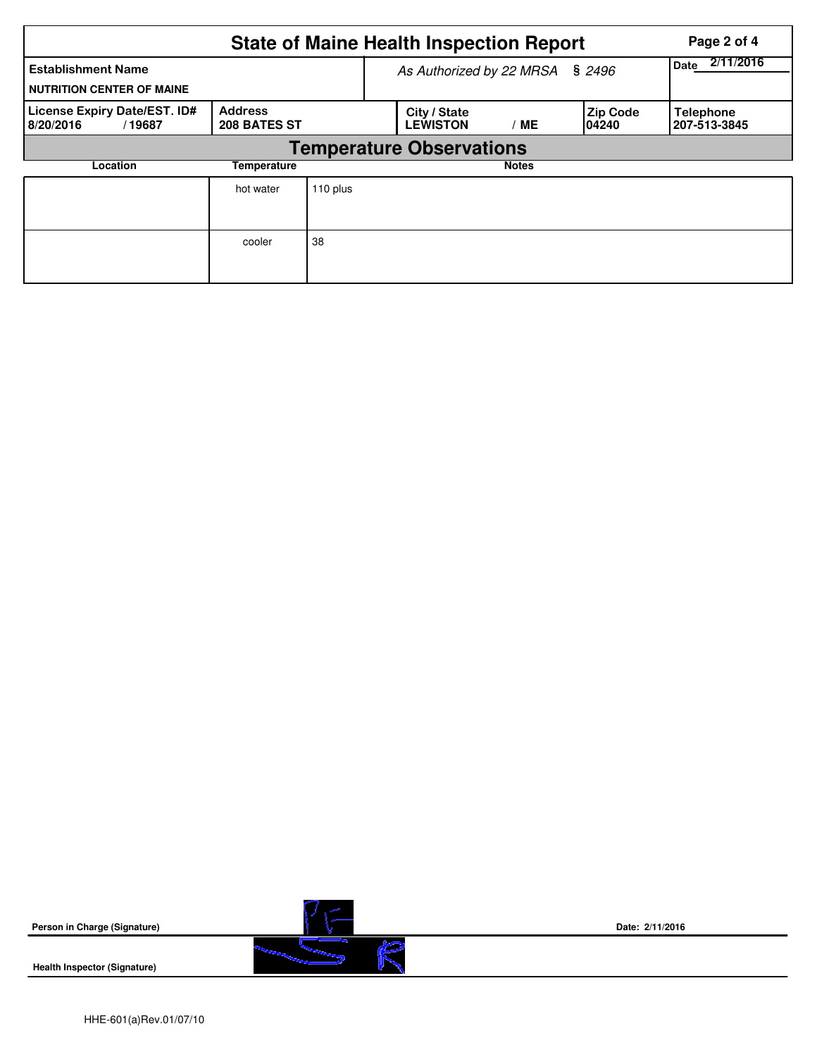|                                                               | Page 2 of 4                    |                                 |                                 |              |                           |                                  |  |  |  |  |
|---------------------------------------------------------------|--------------------------------|---------------------------------|---------------------------------|--------------|---------------------------|----------------------------------|--|--|--|--|
| <b>Establishment Name</b><br><b>NUTRITION CENTER OF MAINE</b> |                                | As Authorized by 22 MRSA § 2496 | 2/11/2016<br>Date               |              |                           |                                  |  |  |  |  |
| License Expiry Date/EST. ID#<br>8/20/2016<br>/19687           | <b>Address</b><br>208 BATES ST |                                 | City / State<br><b>LEWISTON</b> | ME           | <b>Zip Code</b><br>104240 | <b>Telephone</b><br>207-513-3845 |  |  |  |  |
| <b>Temperature Observations</b>                               |                                |                                 |                                 |              |                           |                                  |  |  |  |  |
| Location                                                      | Temperature                    |                                 |                                 | <b>Notes</b> |                           |                                  |  |  |  |  |
|                                                               | hot water                      | 110 plus                        |                                 |              |                           |                                  |  |  |  |  |
|                                                               | cooler                         | 38                              |                                 |              |                           |                                  |  |  |  |  |

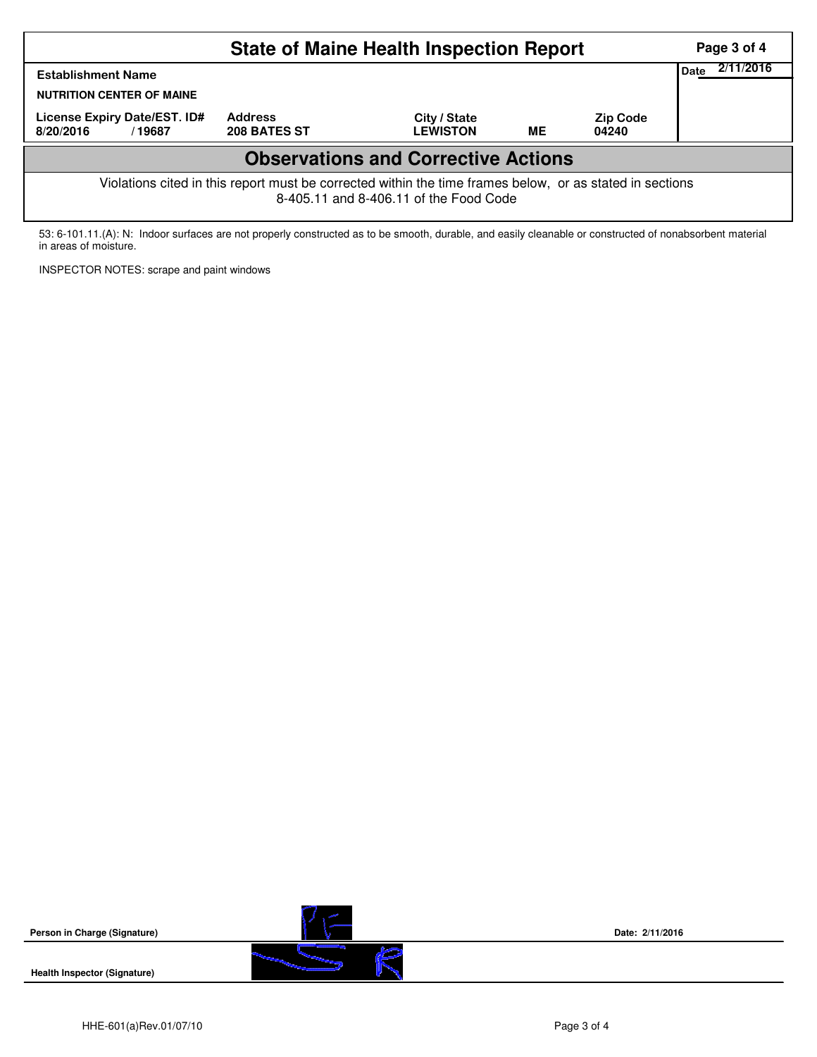|                                                                                                                                                    | Page 3 of 4                    |                                 |           |                          |  |  |  |  |  |
|----------------------------------------------------------------------------------------------------------------------------------------------------|--------------------------------|---------------------------------|-----------|--------------------------|--|--|--|--|--|
| <b>Establishment Name</b><br><b>NUTRITION CENTER OF MAINE</b>                                                                                      | 2/11/2016<br>Date              |                                 |           |                          |  |  |  |  |  |
| License Expiry Date/EST. ID#<br>8/20/2016<br>/19687                                                                                                | <b>Address</b><br>208 BATES ST | City / State<br><b>LEWISTON</b> | <b>ME</b> | <b>Zip Code</b><br>04240 |  |  |  |  |  |
| <b>Observations and Corrective Actions</b>                                                                                                         |                                |                                 |           |                          |  |  |  |  |  |
| Violations cited in this report must be corrected within the time frames below, or as stated in sections<br>8-405.11 and 8-406.11 of the Food Code |                                |                                 |           |                          |  |  |  |  |  |

53: 6-101.11.(A): N: Indoor surfaces are not properly constructed as to be smooth, durable, and easily cleanable or constructed of nonabsorbent material in areas of moisture.

INSPECTOR NOTES: scrape and paint windows